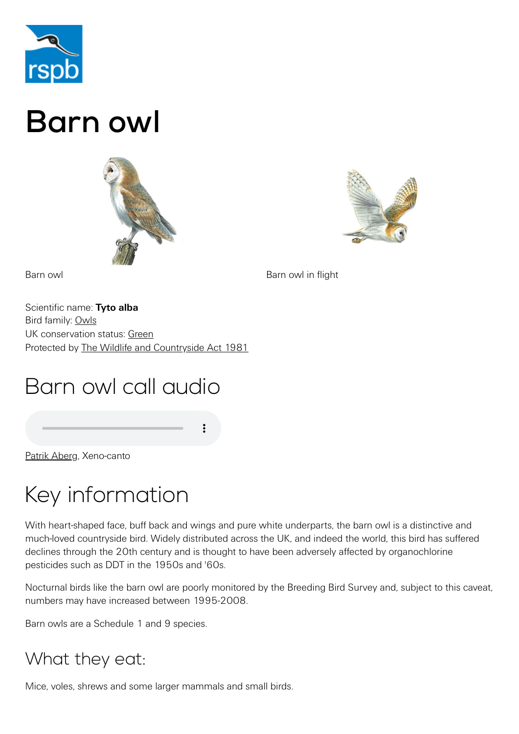

# Barn owl





Barn owl **Barn owl Barn owl** in flight

Scientific name: **Tyto alba** Bird family: [Owls](https://www.rspb.org.uk/birds-and-wildlife/wildlife-guides/bird-a-z/owl-family/) UK conservation status: [Green](https://www.rspb.org.uk/birds-and-wildlife/wildlife-guides/uk-conservation-status-explained/) Protected by [The Wildlife and Countryside Act 1981](https://www.rspb.org.uk/birds-and-wildlife/advice/wildlife-and-the-law/wildlife-and-countryside-act/)

# Barn owl call audio

[Patrik Aberg,](http://www.xeno-canto.org/186611) Xeno-canto

# Key information

With heart-shaped face, buff back and wings and pure white underparts, the barn owl is a distinctive and much-loved countryside bird. Widely distributed across the UK, and indeed the world, this bird has suffered declines through the 20th century and is thought to have been adversely affected by organochlorine pesticides such as DDT in the 1950s and '60s.

Nocturnal birds like the barn owl are poorly monitored by the Breeding Bird Survey and, subject to this caveat, numbers may have increased between 1995-2008.

Barn owls are a Schedule 1 and 9 species.

### What they eat:

Mice, voles, shrews and some larger mammals and small birds.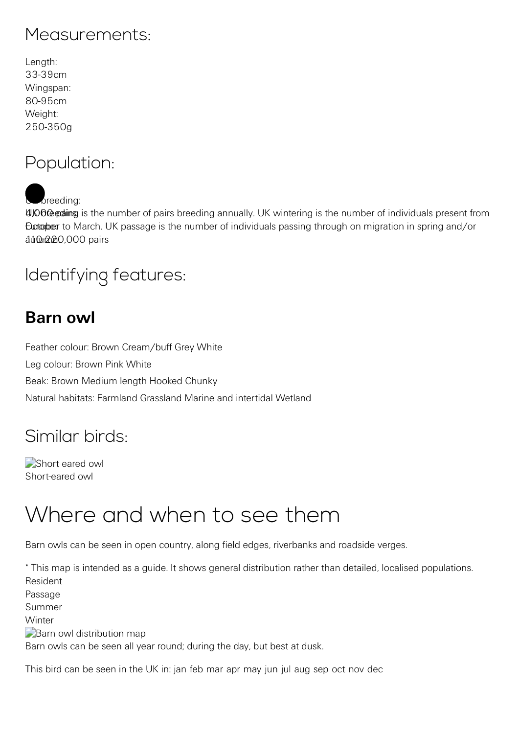#### Measurements:

| Length:   |
|-----------|
| 33-39cm   |
| Wingspan: |
| 80-95cm   |
| Weight:   |
| 250-350g  |

### Population:

breeding:

4000 pating is the number of pairs breeding annually. UK wintering is the number of individuals present from Eurtopber to March. UK passage is the number of individuals passing through on migration in spring and/or autuma20,000 pairs

### Identifying features:

### **Barn owl**

Feather colour: Brown Cream/buff Grey White Leg colour: Brown Pink White Beak: Brown Medium length Hooked Chunky Natural habitats: Farmland Grassland Marine and intertidal Wetland

### Similar birds:

[Short eared owl](https://www.rspb.org.uk/birds-and-wildlife/wildlife-guides/bird-a-z/short-eared-owl/) Short-eared owl

## Where and when to see them

Barn owls can be seen in open country, along field edges, riverbanks and roadside verges.

\* This map is intended as a guide. It shows general distribution rather than detailed, localised populations. Resident Passage Summer **Winter Barn owl distribution map** Barn owls can be seen all year round; during the day, but best at dusk.

This bird can be seen in the UK in: jan feb mar apr may jun jul aug sep oct nov dec